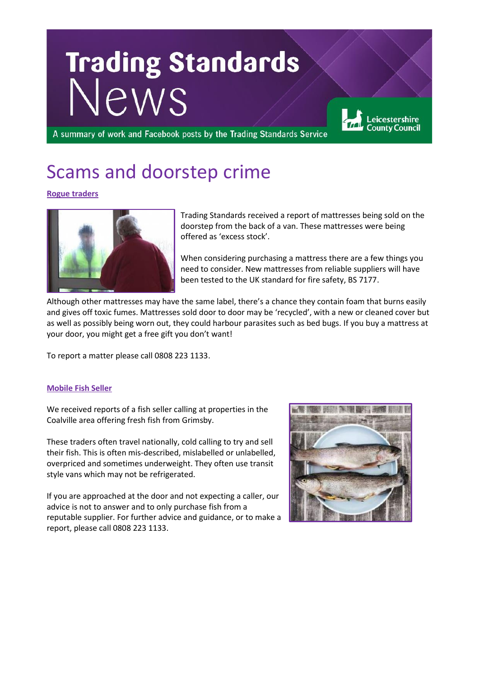# Trading Standards

A summary of work and Facebook posts by the Trading Standards Service

## Scams and doorstep crime

## **Rogue traders**



Trading Standards received a report of mattresses being sold on the doorstep from the back of a van. These mattresses were being offered as 'excess stock'.

eicestershire. **County Council** 

When considering purchasing a mattress there are a few things you need to consider. New mattresses from reliable suppliers will have been tested to the UK standard for fire safety, BS 7177.

Although other mattresses may have the same label, there's a chance they contain foam that burns easily and gives off toxic fumes. Mattresses sold door to door may be 'recycled', with a new or cleaned cover but as well as possibly being worn out, they could harbour parasites such as bed bugs. If you buy a mattress at your door, you might get a free gift you don't want!

To report a matter please call 0808 223 1133.

## **Mobile Fish Seller**

We received reports of a fish seller calling at properties in the Coalville area offering fresh fish from Grimsby.

These traders often travel nationally, cold calling to try and sell their fish. This is often mis-described, mislabelled or unlabelled, overpriced and sometimes underweight. They often use transit style vans which may not be refrigerated.

If you are approached at the door and not expecting a caller, our advice is not to answer and to only purchase fish from a reputable supplier. For further advice and guidance, or to make a report, please call 0808 223 1133.

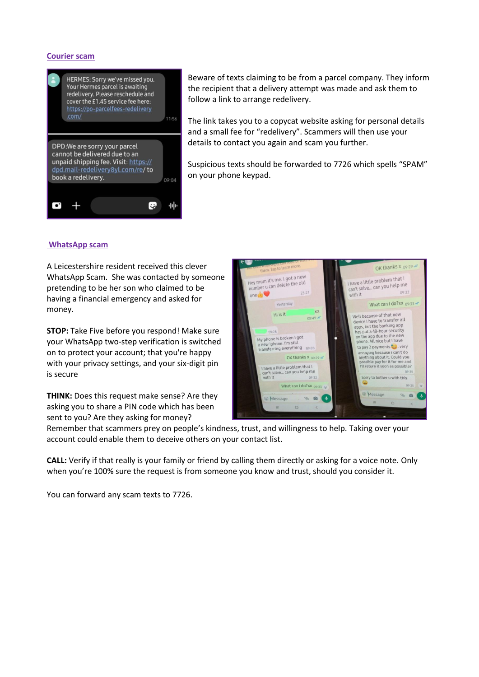## **Courier scam**



Beware of texts claiming to be from a parcel company. They inform the recipient that a delivery attempt was made and ask them to follow a link to arrange redelivery.

The link takes you to a copycat website asking for personal details and a small fee for "redelivery". Scammers will then use your details to contact you again and scam you further.

Suspicious texts should be forwarded to 7726 which spells "SPAM" on your phone keypad.

#### **WhatsApp scam**

A Leicestershire resident received this clever WhatsApp Scam. She was contacted by someone pretending to be her son who claimed to be having a financial emergency and asked for money.

**STOP:** Take Five before you respond! Make sure your WhatsApp two-step verification is switched on to protect your account; that you're happy with your privacy settings, and your six-digit pin is secure

**THINK:** Does this request make sense? Are they asking you to share a PIN code which has been sent to you? Are they asking for money?



Remember that scammers prey on people's kindness, trust, and willingness to help. Taking over your account could enable them to deceive others on your contact list.

**CALL:** Verify if that really is your family or friend by calling them directly or asking for a voice note. Only when you're 100% sure the request is from someone you know and trust, should you consider it.

You can forward any scam texts to 7726.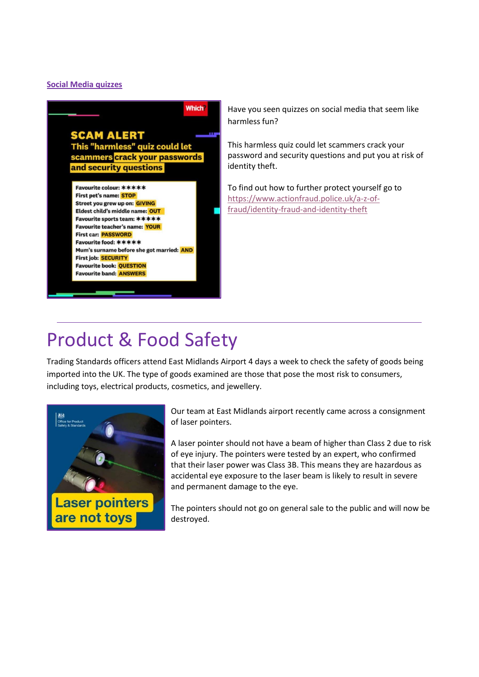## **Social Media quizzes**



Have you seen quizzes on social media that seem like harmless fun?

This harmless quiz could let scammers crack your password and security questions and put you at risk of identity theft.

To find out how to further protect yourself go to [https://www.actionfraud.police.uk/a-z-of](https://www.actionfraud.police.uk/a-z-of-fraud/identity-fraud-and-identity-theft)[fraud/identity-fraud-and-identity-theft](https://www.actionfraud.police.uk/a-z-of-fraud/identity-fraud-and-identity-theft)

## Product & Food Safety

Trading Standards officers attend East Midlands Airport 4 days a week to check the safety of goods being imported into the UK. The type of goods examined are those that pose the most risk to consumers, including toys, electrical products, cosmetics, and jewellery.



Our team at East Midlands airport recently came across a consignment of laser pointers.

A laser pointer should not have a beam of higher than Class 2 due to risk of eye injury. The pointers were tested by an expert, who confirmed that their laser power was Class 3B. This means they are hazardous as accidental eye exposure to the laser beam is likely to result in severe and permanent damage to the eye.

The pointers should not go on general sale to the public and will now be destroyed.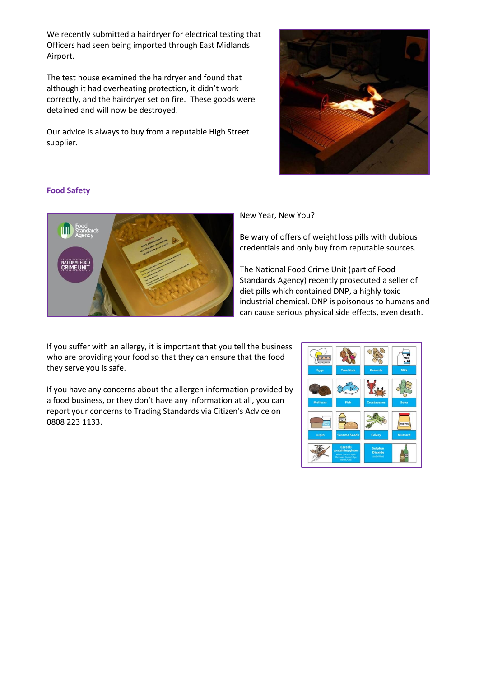We recently submitted a hairdryer for electrical testing that Officers had seen being imported through East Midlands Airport.

The test house examined the hairdryer and found that although it had overheating protection, it didn't work correctly, and the hairdryer set on fire. These goods were detained and will now be destroyed.

Our advice is always to buy from a reputable High Street supplier.



## **Food Safety**



New Year, New You?

Be wary of offers of weight loss pills with dubious credentials and only buy from reputable sources.

The National Food Crime Unit (part of Food Standards Agency) recently prosecuted a seller of diet pills which contained DNP, a highly toxic industrial chemical. DNP is poisonous to humans and can cause serious physical side effects, even death.

If you suffer with an allergy, it is important that you tell the business who are providing your food so that they can ensure that the food they serve you is safe.

If you have any concerns about the allergen information provided by a food business, or they don't have any information at all, you can report your concerns to Trading Standards via Citizen's Advice on 0808 223 1133.

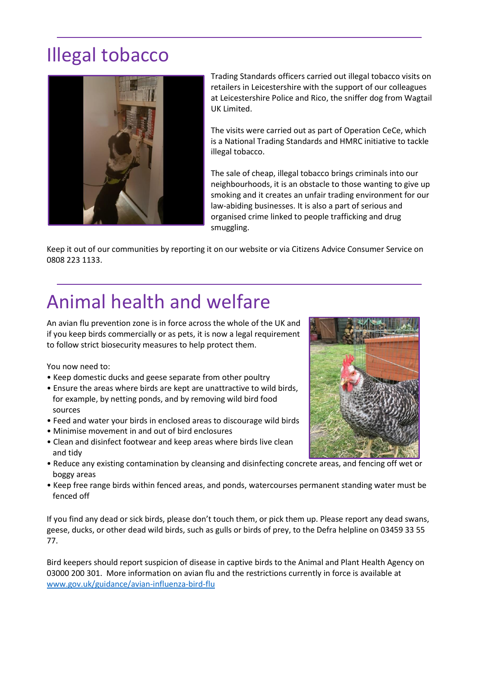# Illegal tobacco



Trading Standards officers carried out illegal tobacco visits on retailers in Leicestershire with the support of our colleagues at Leicestershire Police and Rico, the sniffer dog from Wagtail UK Limited.

The visits were carried out as part of Operation CeCe, which is a National Trading Standards and HMRC initiative to tackle illegal tobacco.

The sale of cheap, illegal tobacco brings criminals into our neighbourhoods, it is an obstacle to those wanting to give up smoking and it creates an unfair trading environment for our law-abiding businesses. It is also a part of serious and organised crime linked to people trafficking and drug smuggling.

Keep it out of our communities by reporting it on our website or via Citizens Advice Consumer Service on 0808 223 1133.

# Animal health and welfare

An avian flu prevention zone is in force across the whole of the UK and if you keep birds commercially or as pets, it is now a legal requirement to follow strict biosecurity measures to help protect them.

You now need to:

- Keep domestic ducks and geese separate from other poultry
- Ensure the areas where birds are kept are unattractive to wild birds, for example, by netting ponds, and by removing wild bird food sources
- Feed and water your birds in enclosed areas to discourage wild birds
- Minimise movement in and out of bird enclosures
- Clean and disinfect footwear and keep areas where birds live clean and tidy
- Reduce any existing contamination by cleansing and disinfecting concrete areas, and fencing off wet or boggy areas
- Keep free range birds within fenced areas, and ponds, watercourses permanent standing water must be fenced off

If you find any dead or sick birds, please don't touch them, or pick them up. Please report any dead swans, geese, ducks, or other dead wild birds, such as gulls or birds of prey, to the Defra helpline on 03459 33 55 77.

Bird keepers should report suspicion of disease in captive birds to the Animal and Plant Health Agency on 03000 200 301. More information on avian flu and the restrictions currently in force is available at [www.gov.uk/guidance/avian-influenza-bird-flu](https://www.gov.uk/guidance/avian-influenza-bird-flu?fbclid=IwAR3QTXOwwvOt9QEuWvJph5C_FDtBopuOlsg2hIMG_B2GtIPxO5Br3t0ijTc)

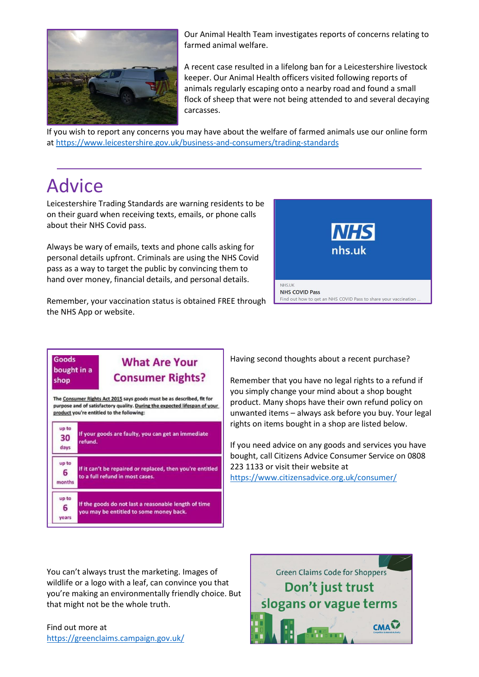

Our Animal Health Team investigates reports of concerns relating to farmed animal welfare.

A recent case resulted in a lifelong ban for a Leicestershire livestock keeper. Our Animal Health officers visited following reports of animals regularly escaping onto a nearby road and found a small flock of sheep that were not being attended to and several decaying carcasses.

If you wish to report any concerns you may have about the welfare of farmed animals use our online form a[t https://www.leicestershire.gov.uk/business-and-consumers/trading-standards](https://www.leicestershire.gov.uk/business-and-consumers/trading-standards)

# Advice

Leicestershire Trading Standards are warning residents to be on their guard when receiving texts, emails, or phone calls about their NHS Covid pass.

Always be wary of emails, texts and phone calls asking for personal details upfront. Criminals are using the NHS Covid pass as a way to target the public by convincing them to hand over money, financial details, and personal details.



Remember, your vaccination status is obtained FREE through the NHS App or website.

### **Goods What Are Your** bought in a **Consumer Rights?** shop The Consumer Rights Act 2015 says goods must be as described, fit for

purpose and of satisfactory quality. During the expected lifespan of your product you're entitled to the following:

| up to<br>30<br>days  | If your goods are faulty, you can get an immediate<br>refund.                                   |
|----------------------|-------------------------------------------------------------------------------------------------|
| up to<br>6<br>months | If it can't be repaired or replaced, then you're entitled<br>to a full refund in most cases.    |
| up to<br>6<br>vears  | If the goods do not last a reasonable length of time<br>you may be entitled to some money back. |

Having second thoughts about a recent purchase?

Remember that you have no legal rights to a refund if you simply change your mind about a shop bought product. Many shops have their own refund policy on unwanted items – always ask before you buy. Your legal rights on items bought in a shop are listed below.

If you need advice on any goods and services you have bought, call Citizens Advice Consumer Service on 0808 223 1133 or visit their website at [https://www.citizensadvice.org.uk/consumer/](https://www.citizensadvice.org.uk/consumer/?fbclid=IwAR3yMxCofTB-OY4gV1hPbv4PapNY5EmXA1F7DK91eZJe-pOsMDejZA1c64U)

You can't always trust the marketing. Images of wildlife or a logo with a leaf, can convince you that you're making an environmentally friendly choice. But that might not be the whole truth.

Find out more at <https://greenclaims.campaign.gov.uk/>